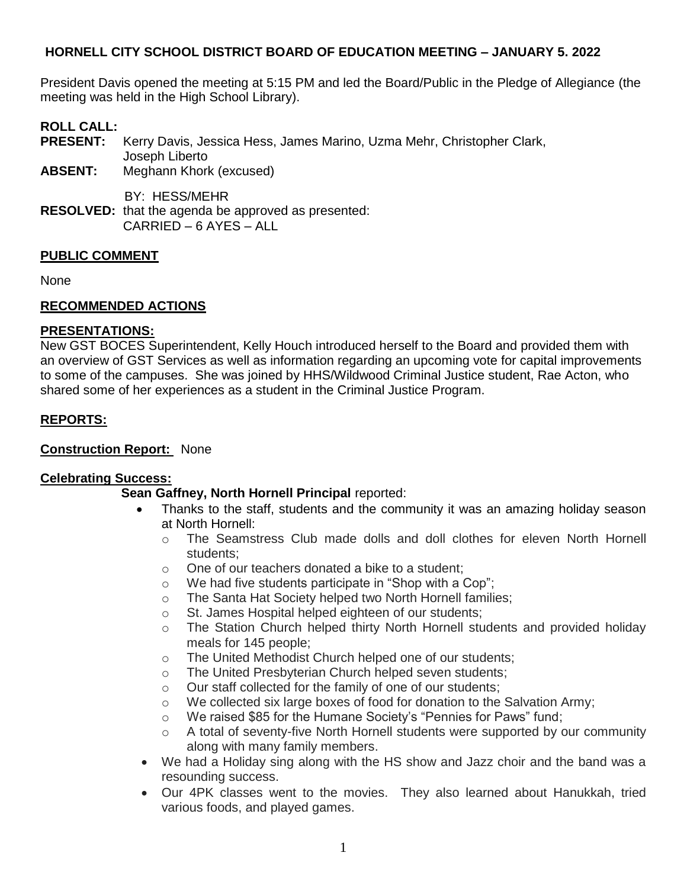President Davis opened the meeting at 5:15 PM and led the Board/Public in the Pledge of Allegiance (the meeting was held in the High School Library).

# **ROLL CALL:**

**PRESENT:** Kerry Davis, Jessica Hess, James Marino, Uzma Mehr, Christopher Clark, Joseph Liberto

**ABSENT:** Meghann Khork (excused)

BY: HESS/MEHR

**RESOLVED:** that the agenda be approved as presented: CARRIED – 6 AYES – ALL

### **PUBLIC COMMENT**

None

### **RECOMMENDED ACTIONS**

#### **PRESENTATIONS:**

New GST BOCES Superintendent, Kelly Houch introduced herself to the Board and provided them with an overview of GST Services as well as information regarding an upcoming vote for capital improvements to some of the campuses. She was joined by HHS/Wildwood Criminal Justice student, Rae Acton, who shared some of her experiences as a student in the Criminal Justice Program.

### **REPORTS:**

#### **Construction Report:** None

#### **Celebrating Success:**

#### **Sean Gaffney, North Hornell Principal** reported:

- Thanks to the staff, students and the community it was an amazing holiday season at North Hornell:
	- o The Seamstress Club made dolls and doll clothes for eleven North Hornell students;
	- o One of our teachers donated a bike to a student;
	- o We had five students participate in "Shop with a Cop";
	- o The Santa Hat Society helped two North Hornell families;
	- o St. James Hospital helped eighteen of our students;
	- $\circ$  The Station Church helped thirty North Hornell students and provided holiday meals for 145 people;
	- o The United Methodist Church helped one of our students;
	- o The United Presbyterian Church helped seven students;
	- o Our staff collected for the family of one of our students;
	- $\circ$  We collected six large boxes of food for donation to the Salvation Army;
	- o We raised \$85 for the Humane Society's "Pennies for Paws" fund;
	- o A total of seventy-five North Hornell students were supported by our community along with many family members.
- We had a Holiday sing along with the HS show and Jazz choir and the band was a resounding success.
- Our 4PK classes went to the movies. They also learned about Hanukkah, tried various foods, and played games.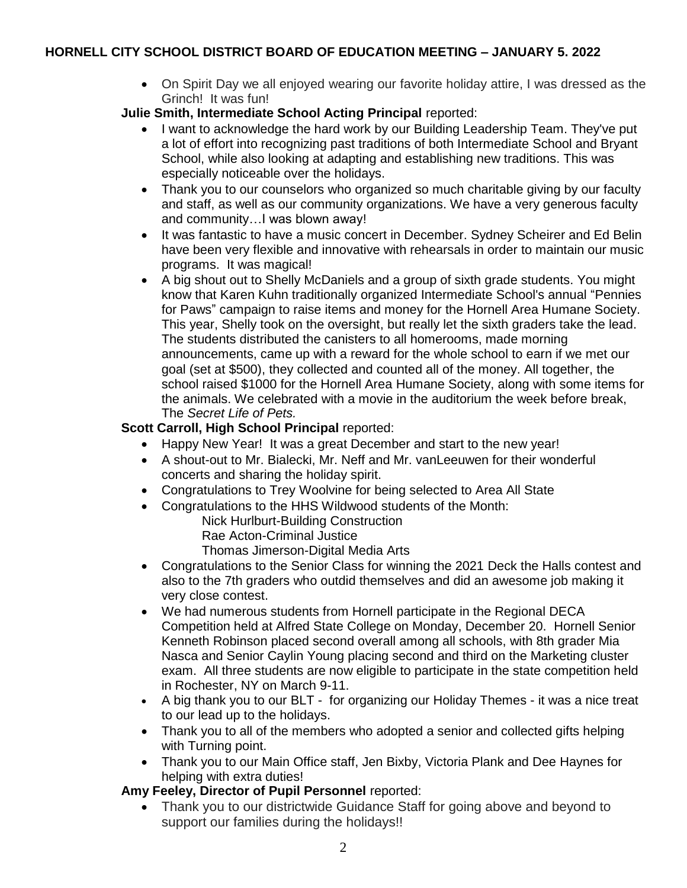- On Spirit Day we all enjoyed wearing our favorite holiday attire, I was dressed as the Grinch! It was fun!
- **Julie Smith, Intermediate School Acting Principal** reported:
	- I want to acknowledge the hard work by our Building Leadership Team. They've put a lot of effort into recognizing past traditions of both Intermediate School and Bryant School, while also looking at adapting and establishing new traditions. This was especially noticeable over the holidays.
	- Thank you to our counselors who organized so much charitable giving by our faculty and staff, as well as our community organizations. We have a very generous faculty and community…I was blown away!
	- It was fantastic to have a music concert in December. Sydney Scheirer and Ed Belin have been very flexible and innovative with rehearsals in order to maintain our music programs. It was magical!
	- A big shout out to Shelly McDaniels and a group of sixth grade students. You might know that Karen Kuhn traditionally organized Intermediate School's annual "Pennies for Paws" campaign to raise items and money for the Hornell Area Humane Society. This year, Shelly took on the oversight, but really let the sixth graders take the lead. The students distributed the canisters to all homerooms, made morning announcements, came up with a reward for the whole school to earn if we met our goal (set at \$500), they collected and counted all of the money. All together, the school raised \$1000 for the Hornell Area Humane Society, along with some items for the animals. We celebrated with a movie in the auditorium the week before break, The *Secret Life of Pets.*

### **Scott Carroll, High School Principal** reported:

- Happy New Year! It was a great December and start to the new year!
- A shout-out to Mr. Bialecki, Mr. Neff and Mr. vanLeeuwen for their wonderful concerts and sharing the holiday spirit.
- Congratulations to Trey Woolvine for being selected to Area All State
- Congratulations to the HHS Wildwood students of the Month:

Nick Hurlburt-Building Construction

Rae Acton-Criminal Justice

Thomas Jimerson-Digital Media Arts

- Congratulations to the Senior Class for winning the 2021 Deck the Halls contest and also to the 7th graders who outdid themselves and did an awesome job making it very close contest.
- We had numerous students from Hornell participate in the Regional DECA Competition held at Alfred State College on Monday, December 20. Hornell Senior Kenneth Robinson placed second overall among all schools, with 8th grader Mia Nasca and Senior Caylin Young placing second and third on the Marketing cluster exam. All three students are now eligible to participate in the state competition held in Rochester, NY on March 9-11.
- A big thank you to our BLT for organizing our Holiday Themes it was a nice treat to our lead up to the holidays.
- Thank you to all of the members who adopted a senior and collected gifts helping with Turning point.
- Thank you to our Main Office staff, Jen Bixby, Victoria Plank and Dee Haynes for helping with extra duties!

### **Amy Feeley, Director of Pupil Personnel** reported:

• Thank you to our districtwide Guidance Staff for going above and beyond to support our families during the holidays!!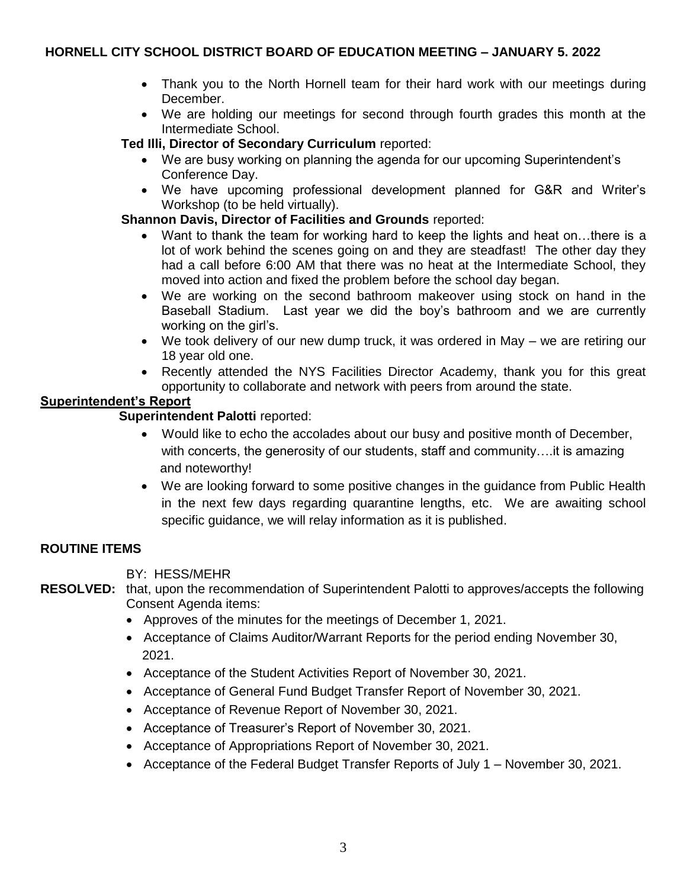- Thank you to the North Hornell team for their hard work with our meetings during December.
- We are holding our meetings for second through fourth grades this month at the Intermediate School.

**Ted Illi, Director of Secondary Curriculum** reported:

- We are busy working on planning the agenda for our upcoming Superintendent's Conference Day.
- We have upcoming professional development planned for G&R and Writer's Workshop (to be held virtually).

### **Shannon Davis, Director of Facilities and Grounds** reported:

- Want to thank the team for working hard to keep the lights and heat on…there is a lot of work behind the scenes going on and they are steadfast! The other day they had a call before 6:00 AM that there was no heat at the Intermediate School, they moved into action and fixed the problem before the school day began.
- We are working on the second bathroom makeover using stock on hand in the Baseball Stadium. Last year we did the boy's bathroom and we are currently working on the girl's.
- We took delivery of our new dump truck, it was ordered in May we are retiring our 18 year old one.
- Recently attended the NYS Facilities Director Academy, thank you for this great opportunity to collaborate and network with peers from around the state.

### **Superintendent's Report**

 **Superintendent Palotti** reported:

- Would like to echo the accolades about our busy and positive month of December, with concerts, the generosity of our students, staff and community….it is amazing and noteworthy!
- We are looking forward to some positive changes in the guidance from Public Health in the next few days regarding quarantine lengths, etc. We are awaiting school specific guidance, we will relay information as it is published.

### **ROUTINE ITEMS**

BY: HESS/MEHR

**RESOLVED:** that, upon the recommendation of Superintendent Palotti to approves/accepts the following Consent Agenda items:

- Approves of the minutes for the meetings of December 1, 2021.
- Acceptance of Claims Auditor/Warrant Reports for the period ending November 30, 2021.
- Acceptance of the Student Activities Report of November 30, 2021.
- Acceptance of General Fund Budget Transfer Report of November 30, 2021.
- Acceptance of Revenue Report of November 30, 2021.
- Acceptance of Treasurer's Report of November 30, 2021.
- Acceptance of Appropriations Report of November 30, 2021.
- Acceptance of the Federal Budget Transfer Reports of July 1 November 30, 2021.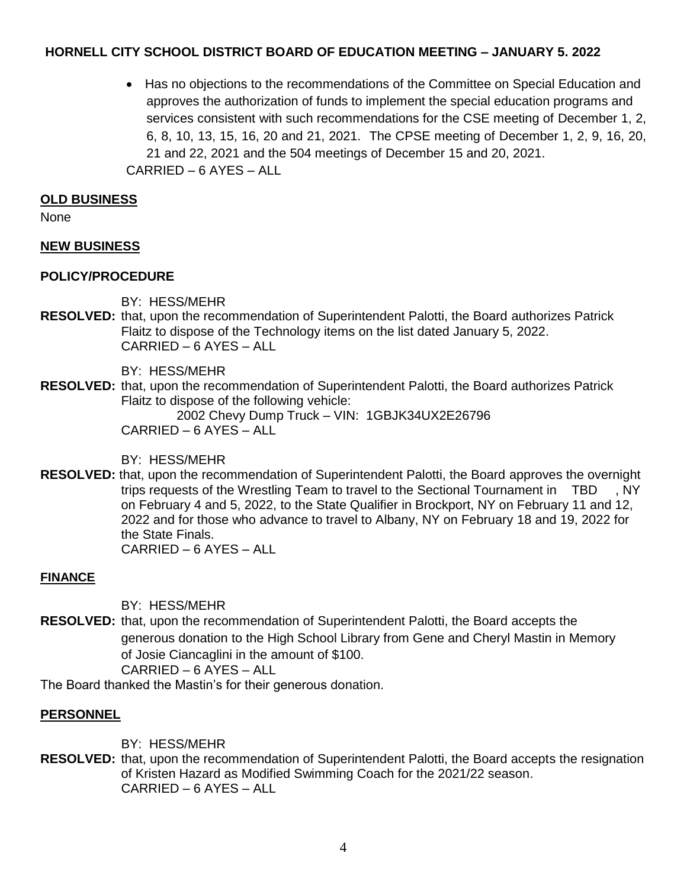Has no objections to the recommendations of the Committee on Special Education and approves the authorization of funds to implement the special education programs and services consistent with such recommendations for the CSE meeting of December 1, 2, 6, 8, 10, 13, 15, 16, 20 and 21, 2021. The CPSE meeting of December 1, 2, 9, 16, 20, 21 and 22, 2021 and the 504 meetings of December 15 and 20, 2021. CARRIED – 6 AYES – ALL

### **OLD BUSINESS**

None

### **NEW BUSINESS**

### **POLICY/PROCEDURE**

BY: HESS/MEHR

**RESOLVED:** that, upon the recommendation of Superintendent Palotti, the Board authorizes Patrick Flaitz to dispose of the Technology items on the list dated January 5, 2022. CARRIED – 6 AYES – ALL

BY: HESS/MEHR

**RESOLVED:** that, upon the recommendation of Superintendent Palotti, the Board authorizes Patrick Flaitz to dispose of the following vehicle:

2002 Chevy Dump Truck – VIN: 1GBJK34UX2E26796 CARRIED – 6 AYES – ALL

BY: HESS/MEHR

**RESOLVED:** that, upon the recommendation of Superintendent Palotti, the Board approves the overnight trips requests of the Wrestling Team to travel to the Sectional Tournament in TBD , NY on February 4 and 5, 2022, to the State Qualifier in Brockport, NY on February 11 and 12, 2022 and for those who advance to travel to Albany, NY on February 18 and 19, 2022 for the State Finals. CARRIED – 6 AYES – ALL

### **FINANCE**

BY: HESS/MEHR

**RESOLVED:** that, upon the recommendation of Superintendent Palotti, the Board accepts the generous donation to the High School Library from Gene and Cheryl Mastin in Memory of Josie Ciancaglini in the amount of \$100.

CARRIED – 6 AYES – ALL

The Board thanked the Mastin's for their generous donation.

### **PERSONNEL**

BY: HESS/MEHR

**RESOLVED:** that, upon the recommendation of Superintendent Palotti, the Board accepts the resignation of Kristen Hazard as Modified Swimming Coach for the 2021/22 season. CARRIED – 6 AYES – ALL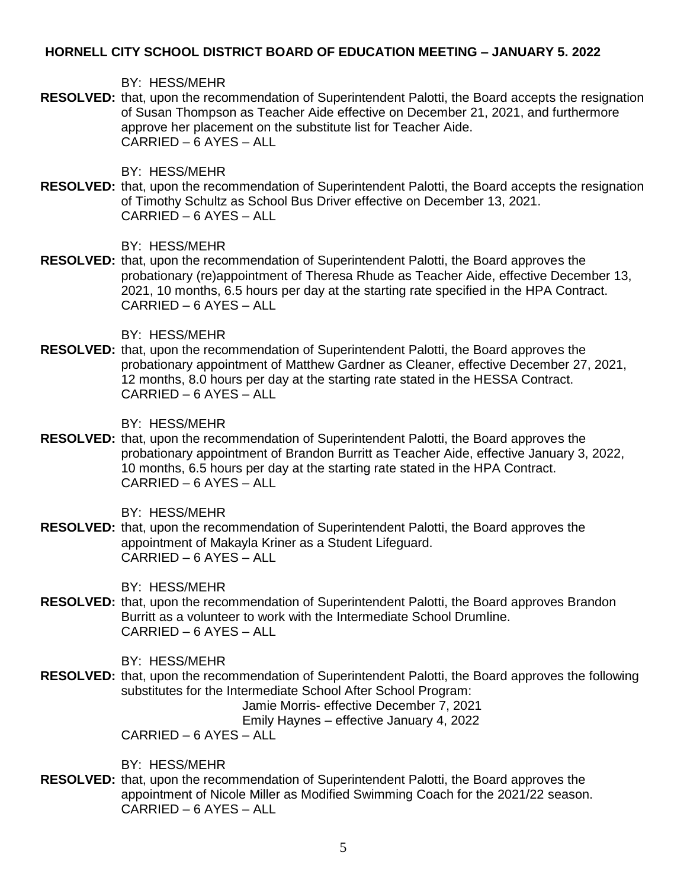BY: HESS/MEHR

**RESOLVED:** that, upon the recommendation of Superintendent Palotti, the Board accepts the resignation of Susan Thompson as Teacher Aide effective on December 21, 2021, and furthermore approve her placement on the substitute list for Teacher Aide. CARRIED – 6 AYES – ALL

BY: HESS/MEHR

**RESOLVED:** that, upon the recommendation of Superintendent Palotti, the Board accepts the resignation of Timothy Schultz as School Bus Driver effective on December 13, 2021. CARRIED – 6 AYES – ALL

BY: HESS/MEHR

**RESOLVED:** that, upon the recommendation of Superintendent Palotti, the Board approves the probationary (re)appointment of Theresa Rhude as Teacher Aide, effective December 13, 2021, 10 months, 6.5 hours per day at the starting rate specified in the HPA Contract. CARRIED – 6 AYES – ALL

BY: HESS/MEHR

**RESOLVED:** that, upon the recommendation of Superintendent Palotti, the Board approves the probationary appointment of Matthew Gardner as Cleaner, effective December 27, 2021, 12 months, 8.0 hours per day at the starting rate stated in the HESSA Contract. CARRIED – 6 AYES – ALL

BY: HESS/MEHR

**RESOLVED:** that, upon the recommendation of Superintendent Palotti, the Board approves the probationary appointment of Brandon Burritt as Teacher Aide, effective January 3, 2022, 10 months, 6.5 hours per day at the starting rate stated in the HPA Contract. CARRIED – 6 AYES – ALL

BY: HESS/MEHR

**RESOLVED:** that, upon the recommendation of Superintendent Palotti, the Board approves the appointment of Makayla Kriner as a Student Lifeguard. CARRIED – 6 AYES – ALL

BY: HESS/MEHR

**RESOLVED:** that, upon the recommendation of Superintendent Palotti, the Board approves Brandon Burritt as a volunteer to work with the Intermediate School Drumline. CARRIED – 6 AYES – ALL

BY: HESS/MEHR

**RESOLVED:** that, upon the recommendation of Superintendent Palotti, the Board approves the following substitutes for the Intermediate School After School Program:

Jamie Morris- effective December 7, 2021

Emily Haynes – effective January 4, 2022

CARRIED – 6 AYES – ALL

BY: HESS/MEHR

**RESOLVED:** that, upon the recommendation of Superintendent Palotti, the Board approves the appointment of Nicole Miller as Modified Swimming Coach for the 2021/22 season. CARRIED – 6 AYES – ALL